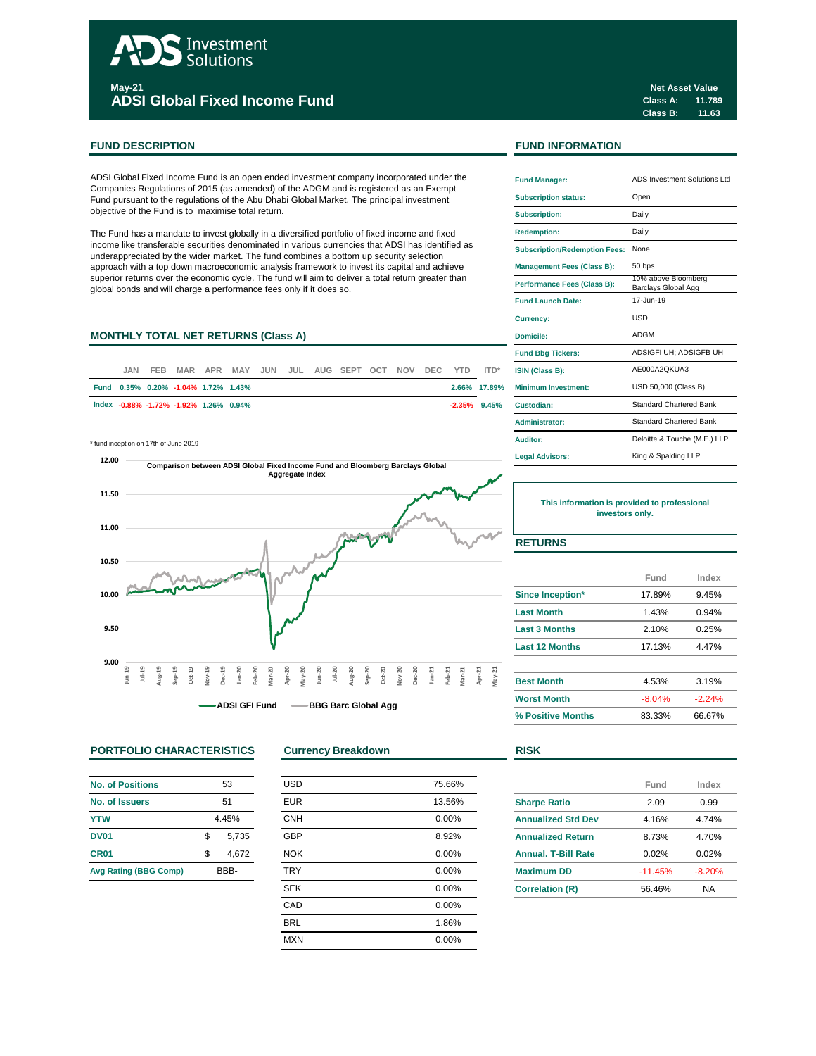# Investment **Solutions May-21 ADSI Global Fixed Income Fund**

ADSI Global Fixed Income Fund is an open ended investment company incorporated under the Companies Regulations of 2015 (as amended) of the ADGM and is registered as an Exempt Fund pursuant to the regulations of the Abu Dhabi Global Market. The principal investment objective of the Fund is to maximise total return.

The Fund has a mandate to invest globally in a diversified portfolio of fixed income and fixed income like transferable securities denominated in various currencies that ADSI has identified as underappreciated by the wider market. The fund combines a bottom up security selection approach with a top down macroeconomic analysis framework to invest its capital and achieve superior returns over the economic cycle. The fund will aim to deliver a total return greater than global bonds and will charge a performance fees only if it does so.

# **MONTHLY TOTAL NET RETURNS (Class A)**

| JAN. | <b>FEB</b> |                                     |                                        |  | MAR APR MAY JUN JUL AUG SEPT OCT NOV DEC YTD ITD* |  |  |                 | <b>ISIN (Class B):</b>     |
|------|------------|-------------------------------------|----------------------------------------|--|---------------------------------------------------|--|--|-----------------|----------------------------|
|      |            | Fund 0.35% 0.20% -1.04% 1.72% 1.43% |                                        |  |                                                   |  |  | 2.66% 17.89%    | <b>Minimum Investment:</b> |
|      |            |                                     | lndex -0.88% -1.72% -1.92% 1.26% 0.94% |  |                                                   |  |  | $-2.35\%$ 9.45% | Custodian:                 |

\* fund inception on 17th of June 2019



# **PORTFOLIO CHARACTERISTICS Currency Breakdown RISK**

| <b>No. of Positions</b>      | 53    |       |  |  |
|------------------------------|-------|-------|--|--|
| No. of Issuers               | 51    |       |  |  |
| <b>YTW</b>                   | 4.45% |       |  |  |
| <b>DV01</b>                  | \$    | 5,735 |  |  |
| CR <sub>01</sub>             | \$    | 4.672 |  |  |
| <b>Avg Rating (BBG Comp)</b> | BBB-  |       |  |  |

| <b>USD</b> | 75.66% |
|------------|--------|
| <b>EUR</b> | 13.56% |
| <b>CNH</b> | 0.00%  |
| <b>GBP</b> | 8.92%  |
| <b>NOK</b> | 0.00%  |
| <b>TRY</b> | 0.00%  |
| <b>SEK</b> | 0.00%  |
| CAD        | 0.00%  |
| <b>BRL</b> | 1.86%  |
| <b>MXN</b> | 0.00%  |
|            |        |

**Class A: 11.789 Class B: 11.63 Net Asset Value**

## **FUND DESCRIPTION FUND INFORMATION**

| <b>Fund Manager:</b>                 | ADS Investment Solutions Ltd               |  |  |  |
|--------------------------------------|--------------------------------------------|--|--|--|
| <b>Subscription status:</b>          | Open                                       |  |  |  |
| <b>Subscription:</b>                 | Daily                                      |  |  |  |
| <b>Redemption:</b>                   | Daily                                      |  |  |  |
| <b>Subscription/Redemption Fees:</b> | None                                       |  |  |  |
| <b>Management Fees (Class B):</b>    | 50 bps                                     |  |  |  |
| <b>Performance Fees (Class B):</b>   | 10% above Bloomberg<br>Barclays Global Agg |  |  |  |
| <b>Fund Launch Date:</b>             | 17-Jun-19                                  |  |  |  |
| <b>Currency:</b>                     | USD                                        |  |  |  |
| Domicile:                            | ADGM                                       |  |  |  |
| <b>Fund Bbg Tickers:</b>             | ADSIGFI UH; ADSIGFB UH                     |  |  |  |
| ISIN (Class B):                      | AE000A2OKUA3                               |  |  |  |
| Minimum Investment:                  | USD 50,000 (Class B)                       |  |  |  |
| Custodian:                           | <b>Standard Chartered Bank</b>             |  |  |  |
| Administrator:                       | <b>Standard Chartered Bank</b>             |  |  |  |
| Auditor:                             | Deloitte & Touche (M.E.) LLP               |  |  |  |
| <b>Legal Advisors:</b>               | King & Spalding LLP                        |  |  |  |

**This information is provided to professional investors only.**

# **RETURNS**

|                       | Fund     | Index    |
|-----------------------|----------|----------|
| Since Inception*      | 17.89%   | 9.45%    |
| <b>Last Month</b>     | 1.43%    | 0.94%    |
| <b>Last 3 Months</b>  | 2.10%    | 0.25%    |
| <b>Last 12 Months</b> | 17.13%   | 4.47%    |
| <b>Best Month</b>     | 4.53%    | 3.19%    |
| <b>Worst Month</b>    | $-8.04%$ | $-2.24%$ |
| % Positive Months     | 83.33%   | 66.67%   |

|                            | Fund      | Index    |
|----------------------------|-----------|----------|
| <b>Sharpe Ratio</b>        | 2.09      | 0.99     |
| <b>Annualized Std Dev</b>  | 4.16%     | 4.74%    |
| <b>Annualized Return</b>   | 8 73%     | 4.70%    |
| <b>Annual, T-Bill Rate</b> | 0.02%     | 0.02%    |
| <b>Maximum DD</b>          | $-11.45%$ | $-8.20%$ |
| <b>Correlation (R)</b>     | 56.46%    | NA       |